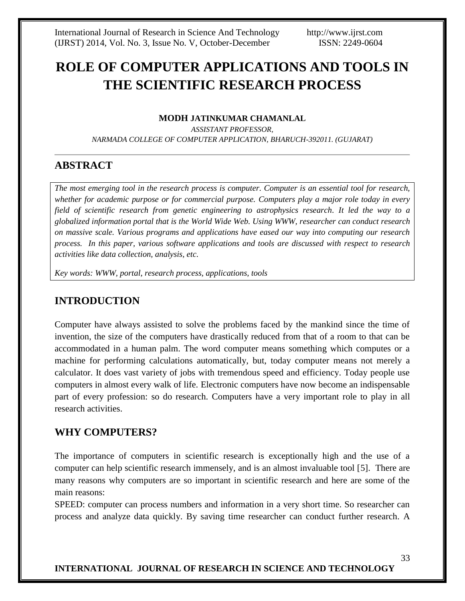# **ROLE OF COMPUTER APPLICATIONS AND TOOLS IN THE SCIENTIFIC RESEARCH PROCESS**

#### **MODH JATINKUMAR CHAMANLAL**

*ASSISTANT PROFESSOR, NARMADA COLLEGE OF COMPUTER APPLICATION, BHARUCH-392011. (GUJARAT)*

# **ABSTRACT**

*The most emerging tool in the research process is computer. Computer is an essential tool for research, whether for academic purpose or for commercial purpose. Computers play a major role today in every field of scientific research from genetic engineering to astrophysics research. It led the way to a globalized information portal that is the World Wide Web. Using WWW, researcher can conduct research on massive scale. Various programs and applications have eased our way into computing our research process. In this paper, various software applications and tools are discussed with respect to research activities like data collection, analysis, etc.*

*Key words: WWW, portal, research process, applications, tools*

# **INTRODUCTION**

Computer have always assisted to solve the problems faced by the mankind since the time of invention, the size of the computers have drastically reduced from that of a room to that can be accommodated in a human palm. The word computer means something which computes or a machine for performing calculations automatically, but, today computer means not merely a calculator. It does vast variety of jobs with tremendous speed and efficiency. Today people use computers in almost every walk of life. Electronic computers have now become an indispensable part of every profession: so do research. Computers have a very important role to play in all research activities.

# **WHY COMPUTERS?**

The importance of computers in scientific research is exceptionally high and the use of a computer can help scientific research immensely, and is an almost invaluable tool [5]. There are many reasons why computers are so important in scientific research and here are some of the main reasons:

SPEED: computer can process numbers and information in a very short time. So researcher can process and analyze data quickly. By saving time researcher can conduct further research. A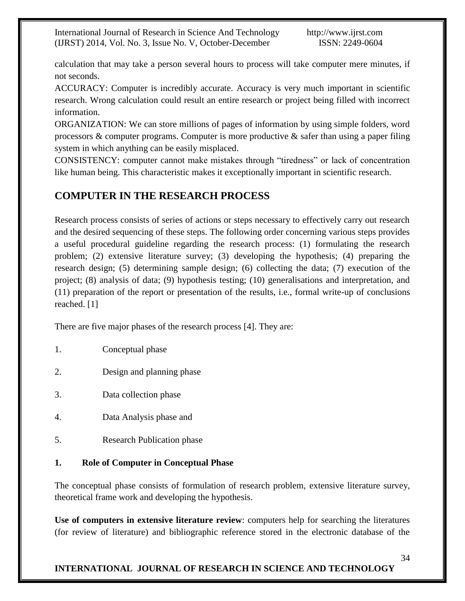calculation that may take a person several hours to process will take computer mere minutes, if not seconds.

ACCURACY: Computer is incredibly accurate. Accuracy is very much important in scientific research. Wrong calculation could result an entire research or project being filled with incorrect information.

ORGANIZATION: We can store millions of pages of information by using simple folders, word processors & computer programs. Computer is more productive & safer than using a paper filing system in which anything can be easily misplaced.

CONSISTENCY: computer cannot make mistakes through "tiredness" or lack of concentration like human being. This characteristic makes it exceptionally important in scientific research.

# **COMPUTER IN THE RESEARCH PROCESS**

Research process consists of series of actions or steps necessary to effectively carry out research and the desired sequencing of these steps. The following order concerning various steps provides a useful procedural guideline regarding the research process: (1) formulating the research problem; (2) extensive literature survey; (3) developing the hypothesis; (4) preparing the research design; (5) determining sample design; (6) collecting the data; (7) execution of the project; (8) analysis of data; (9) hypothesis testing; (10) generalisations and interpretation, and (11) preparation of the report or presentation of the results, i.e., formal write-up of conclusions reached. [1]

There are five major phases of the research process [4]. They are:

- 1. Conceptual phase
- 2. Design and planning phase
- 3. Data collection phase
- 4. Data Analysis phase and
- 5. Research Publication phase

# **1. Role of Computer in Conceptual Phase**

The conceptual phase consists of formulation of research problem, extensive literature survey, theoretical frame work and developing the hypothesis.

**Use of computers in extensive literature review**: computers help for searching the literatures (for review of literature) and bibliographic reference stored in the electronic database of the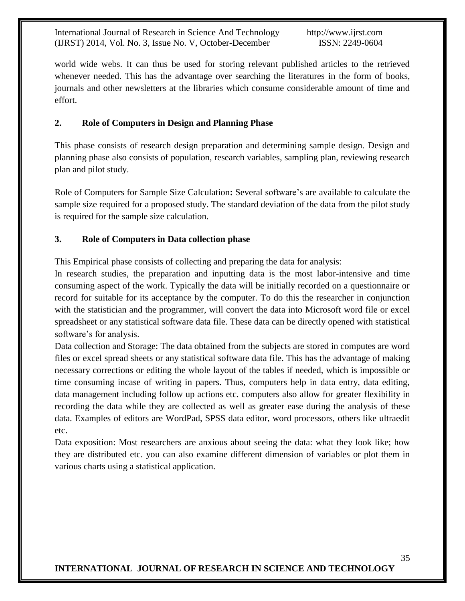world wide webs. It can thus be used for storing relevant published articles to the retrieved whenever needed. This has the advantage over searching the literatures in the form of books, journals and other newsletters at the libraries which consume considerable amount of time and effort.

## **2. Role of Computers in Design and Planning Phase**

This phase consists of research design preparation and determining sample design. Design and planning phase also consists of population, research variables, sampling plan, reviewing research plan and pilot study.

Role of Computers for Sample Size Calculation**:** Several software's are available to calculate the sample size required for a proposed study. The standard deviation of the data from the pilot study is required for the sample size calculation.

## **3. Role of Computers in Data collection phase**

This Empirical phase consists of collecting and preparing the data for analysis:

In research studies, the preparation and inputting data is the most labor-intensive and time consuming aspect of the work. Typically the data will be initially recorded on a questionnaire or record for suitable for its acceptance by the computer. To do this the researcher in conjunction with the statistician and the programmer, will convert the data into Microsoft word file or excel spreadsheet or any statistical software data file. These data can be directly opened with statistical software's for analysis.

Data collection and Storage: The data obtained from the subjects are stored in computes are word files or excel spread sheets or any statistical software data file. This has the advantage of making necessary corrections or editing the whole layout of the tables if needed, which is impossible or time consuming incase of writing in papers. Thus, computers help in data entry, data editing, data management including follow up actions etc. computers also allow for greater flexibility in recording the data while they are collected as well as greater ease during the analysis of these data. Examples of editors are WordPad, SPSS data editor, word processors, others like ultraedit etc.

Data exposition: Most researchers are anxious about seeing the data: what they look like; how they are distributed etc. you can also examine different dimension of variables or plot them in various charts using a statistical application.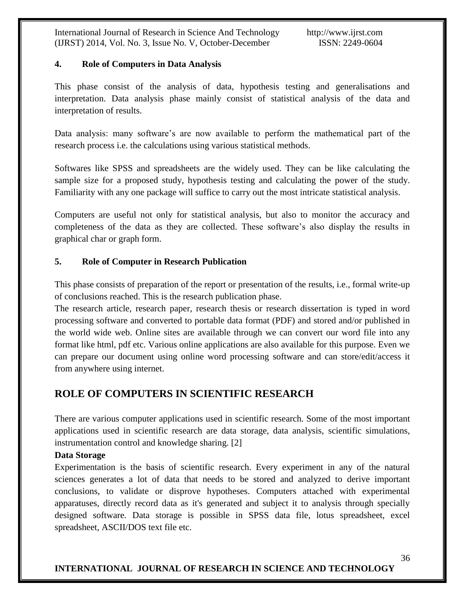#### **4. Role of Computers in Data Analysis**

This phase consist of the analysis of data, hypothesis testing and generalisations and interpretation. Data analysis phase mainly consist of statistical analysis of the data and interpretation of results.

Data analysis: many software's are now available to perform the mathematical part of the research process i.e. the calculations using various statistical methods.

Softwares like SPSS and spreadsheets are the widely used. They can be like calculating the sample size for a proposed study, hypothesis testing and calculating the power of the study. Familiarity with any one package will suffice to carry out the most intricate statistical analysis.

Computers are useful not only for statistical analysis, but also to monitor the accuracy and completeness of the data as they are collected. These software's also display the results in graphical char or graph form.

## **5. Role of Computer in Research Publication**

This phase consists of preparation of the report or presentation of the results, i.e., formal write-up of conclusions reached. This is the research publication phase.

The research article, research paper, research thesis or research dissertation is typed in word processing software and converted to portable data format (PDF) and stored and/or published in the world wide web. Online sites are available through we can convert our word file into any format like html, pdf etc. Various online applications are also available for this purpose. Even we can prepare our document using online word processing software and can store/edit/access it from anywhere using internet.

# **ROLE OF COMPUTERS IN SCIENTIFIC RESEARCH**

There are various computer applications used in scientific research. Some of the most important applications used in scientific research are data storage, data analysis, scientific simulations, instrumentation control and knowledge sharing. [2]

#### **Data Storage**

Experimentation is the basis of scientific research. Every experiment in any of the natural sciences generates a lot of data that needs to be stored and analyzed to derive important conclusions, to validate or disprove hypotheses. Computers attached with experimental apparatuses, directly record data as it's generated and subject it to analysis through specially designed software. Data storage is possible in SPSS data file, lotus spreadsheet, excel spreadsheet, ASCII/DOS text file etc.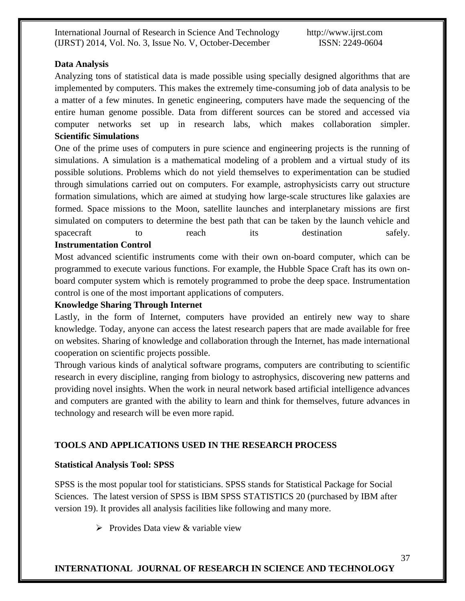#### **Data Analysis**

Analyzing tons of statistical data is made possible using specially designed algorithms that are implemented by computers. This makes the extremely time-consuming job of data analysis to be a matter of a few minutes. In genetic engineering, computers have made the sequencing of the entire human genome possible. Data from different sources can be stored and accessed via computer networks set up in research labs, which makes collaboration simpler. **Scientific Simulations**

One of the prime uses of computers in pure science and engineering projects is the running of simulations. A simulation is a mathematical modeling of a problem and a virtual study of its possible solutions. Problems which do not yield themselves to experimentation can be studied through simulations carried out on computers. For example, astrophysicists carry out structure formation simulations, which are aimed at studying how large-scale structures like galaxies are formed. Space missions to the Moon, satellite launches and interplanetary missions are first simulated on computers to determine the best path that can be taken by the launch vehicle and spacecraft to reach its destination safely. **Instrumentation Control**

Most advanced scientific instruments come with their own on-board computer, which can be programmed to execute various functions. For example, the Hubble Space Craft has its own onboard computer system which is remotely programmed to probe the deep space. Instrumentation control is one of the most important applications of computers.

#### **Knowledge Sharing Through Internet**

Lastly, in the form of Internet, computers have provided an entirely new way to share knowledge. Today, anyone can access the latest research papers that are made available for free on websites. Sharing of knowledge and collaboration through the Internet, has made international cooperation on scientific projects possible.

Through various kinds of analytical software programs, computers are contributing to scientific research in every discipline, ranging from biology to astrophysics, discovering new patterns and providing novel insights. When the work in neural network based artificial intelligence advances and computers are granted with the ability to learn and think for themselves, future advances in technology and research will be even more rapid.

# **TOOLS AND APPLICATIONS USED IN THE RESEARCH PROCESS**

#### **Statistical Analysis Tool: SPSS**

SPSS is the most popular tool for statisticians. SPSS stands for Statistical Package for Social Sciences. The latest version of SPSS is IBM SPSS STATISTICS 20 (purchased by IBM after version 19). It provides all analysis facilities like following and many more.

 $\triangleright$  Provides Data view & variable view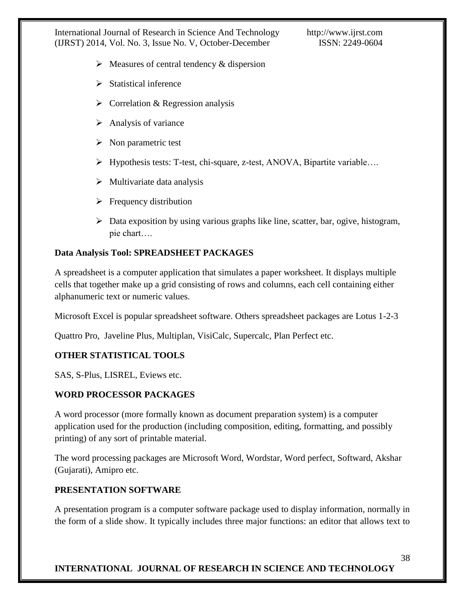- $\triangleright$  Measures of central tendency & dispersion
- $\triangleright$  Statistical inference
- $\triangleright$  Correlation & Regression analysis
- $\triangleright$  Analysis of variance
- $\triangleright$  Non parametric test
- Hypothesis tests: T-test, chi-square, z-test, ANOVA, Bipartite variable….
- $\triangleright$  Multivariate data analysis
- $\triangleright$  Frequency distribution
- Data exposition by using various graphs like line, scatter, bar, ogive, histogram, pie chart….

## **Data Analysis Tool: SPREADSHEET PACKAGES**

A spreadsheet is a computer application that simulates a paper worksheet. It displays multiple cells that together make up a grid consisting of rows and columns, each cell containing either alphanumeric text or numeric values.

Microsoft Excel is popular spreadsheet software. Others spreadsheet packages are Lotus 1-2-3

Quattro Pro, Javeline Plus, Multiplan, VisiCalc, Supercalc, Plan Perfect etc.

#### **OTHER STATISTICAL TOOLS**

SAS, S-Plus, LISREL, Eviews etc.

#### **WORD PROCESSOR PACKAGES**

A word processor (more formally known as document preparation system) is a computer application used for the production (including composition, editing, formatting, and possibly printing) of any sort of printable material.

The word processing packages are Microsoft Word, Wordstar, Word perfect, Softward, Akshar (Gujarati), Amipro etc.

#### **PRESENTATION SOFTWARE**

A presentation program is a computer software package used to display information, normally in the form of a slide show. It typically includes three major functions: an editor that allows text to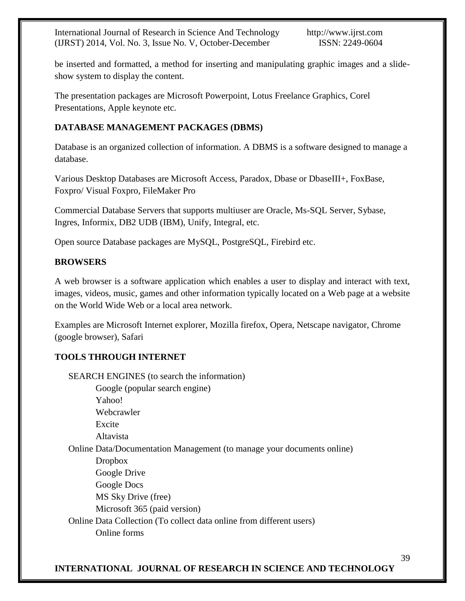be inserted and formatted, a method for inserting and manipulating graphic images and a slideshow system to display the content.

The presentation packages are Microsoft Powerpoint, Lotus Freelance Graphics, Corel Presentations, Apple keynote etc.

# **DATABASE MANAGEMENT PACKAGES (DBMS)**

Database is an organized collection of information. A DBMS is a software designed to manage a database.

Various Desktop Databases are Microsoft Access, Paradox, Dbase or DbaseIII+, FoxBase, Foxpro/ Visual Foxpro, FileMaker Pro

Commercial Database Servers that supports multiuser are Oracle, Ms-SQL Server, Sybase, Ingres, Informix, DB2 UDB (IBM), Unify, Integral, etc.

Open source Database packages are MySQL, PostgreSQL, Firebird etc.

## **BROWSERS**

A web browser is a software application which enables a user to display and interact with text, images, videos, music, games and other information typically located on a Web page at a website on the World Wide Web or a local area network.

Examples are Microsoft Internet explorer, Mozilla firefox, Opera, Netscape navigator, Chrome (google browser), Safari

# **TOOLS THROUGH INTERNET**

SEARCH ENGINES (to search the information) Google (popular search engine) Yahoo! Webcrawler Excite Altavista Online Data/Documentation Management (to manage your documents online) Dropbox Google Drive Google Docs MS Sky Drive (free) Microsoft 365 (paid version) Online Data Collection (To collect data online from different users) Online forms